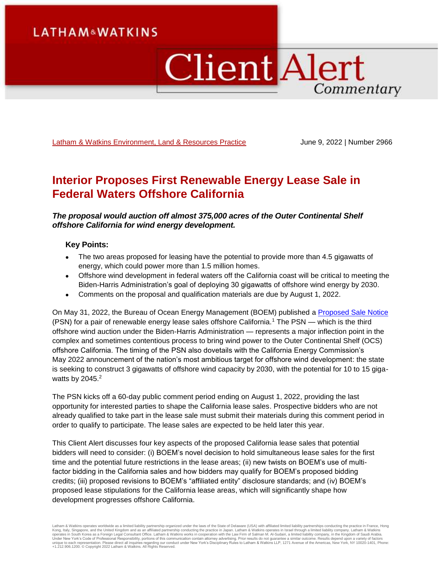# **LATHAM&WATKINS**

# **Client Alert** Commentary

[Latham & Watkins Environment, Land & Resources Practice](https://www.lw.com/practices/EnvironmentLandAndResources) June 9, 2022 | Number 2966

# **Interior Proposes First Renewable Energy Lease Sale in Federal Waters Offshore California**

*The proposal would auction off almost 375,000 acres of the Outer Continental Shelf offshore California for wind energy development.*

#### **Key Points:**

- The two areas proposed for leasing have the potential to provide more than 4.5 gigawatts of energy, which could power more than 1.5 million homes.
- Offshore wind development in federal waters off the California coast will be critical to meeting the Biden-Harris Administration's goal of deploying 30 gigawatts of offshore wind energy by 2030.
- Comments on the proposal and qualification materials are due by August 1, 2022.

On May 31, 2022, the Bureau of Ocean Energy Management (BOEM) published a [Proposed Sale Notice](https://www.govinfo.gov/content/pkg/FR-2022-05-31/pdf/2022-11537.pdf) (PSN) for a pair of renewable energy lease sales offshore California.<sup>1</sup> The PSN — which is the third offshore wind auction under the Biden-Harris Administration — represents a major inflection point in the complex and sometimes contentious process to bring wind power to the Outer Continental Shelf (OCS) offshore California. The timing of the PSN also dovetails with the California Energy Commission's May 2022 announcement of the nation's most ambitious target for offshore wind development: the state is seeking to construct 3 gigawatts of offshore wind capacity by 2030, with the potential for 10 to 15 gigawatts by  $2045.<sup>2</sup>$ 

The PSN kicks off a 60-day public comment period ending on August 1, 2022, providing the last opportunity for interested parties to shape the California lease sales. Prospective bidders who are not already qualified to take part in the lease sale must submit their materials during this comment period in order to qualify to participate. The lease sales are expected to be held later this year.

This Client Alert discusses four key aspects of the proposed California lease sales that potential bidders will need to consider: (i) BOEM's novel decision to hold simultaneous lease sales for the first time and the potential future restrictions in the lease areas; (ii) new twists on BOEM's use of multifactor bidding in the California sales and how bidders may qualify for BOEM's proposed bidding credits; (iii) proposed revisions to BOEM's "affiliated entity" disclosure standards; and (iv) BOEM's proposed lease stipulations for the California lease areas, which will significantly shape how development progresses offshore California.

Latham & Watkins operates worldwide as a limited liability partnership organized under the laws of the State of Delaware (USA) with affiliated limited liability partnerships conducting the practice in France, Hong Kong, Italy, Singapore, and the United Kingdom and as an affiliated partnership conducting the practice in Japan. Latham & Watkins operates in Israel through a limited liability company. Latham & Watkins<br>operates in South +1.212.906.1200. © Copyright 2022 Latham & Watkins. All Rights Reserved.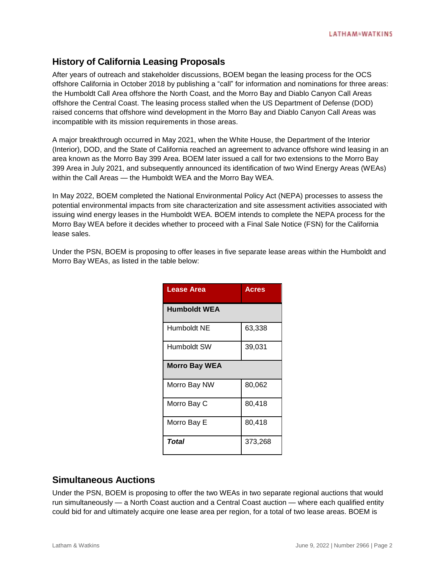# **History of California Leasing Proposals**

After years of outreach and stakeholder discussions, BOEM began the leasing process for the OCS offshore California in October 2018 by publishing a "call" for information and nominations for three areas: the Humboldt Call Area offshore the North Coast, and the Morro Bay and Diablo Canyon Call Areas offshore the Central Coast. The leasing process stalled when the US Department of Defense (DOD) raised concerns that offshore wind development in the Morro Bay and Diablo Canyon Call Areas was incompatible with its mission requirements in those areas.

A major breakthrough occurred in May 2021, when the White House, the Department of the Interior (Interior), DOD, and the State of California reached an agreement to advance offshore wind leasing in an area known as the Morro Bay 399 Area. BOEM later issued a call for two extensions to the Morro Bay 399 Area in July 2021, and subsequently announced its identification of two Wind Energy Areas (WEAs) within the Call Areas — the Humboldt WEA and the Morro Bay WEA.

In May 2022, BOEM completed the National Environmental Policy Act (NEPA) processes to assess the potential environmental impacts from site characterization and site assessment activities associated with issuing wind energy leases in the Humboldt WEA. BOEM intends to complete the NEPA process for the Morro Bay WEA before it decides whether to proceed with a Final Sale Notice (FSN) for the California lease sales.

Under the PSN, BOEM is proposing to offer leases in five separate lease areas within the Humboldt and Morro Bay WEAs, as listed in the table below:

| <b>Lease Area</b>    | <b>Acres</b> |
|----------------------|--------------|
| <b>Humboldt WEA</b>  |              |
| Humboldt NE          | 63,338       |
| Humboldt SW          | 39,031       |
| <b>Morro Bay WEA</b> |              |
| Morro Bay NW         | 80,062       |
| Morro Bay C          | 80,418       |
| Morro Bay E          | 80,418       |
| Total                | 373,268      |

## **Simultaneous Auctions**

Under the PSN, BOEM is proposing to offer the two WEAs in two separate regional auctions that would run simultaneously — a North Coast auction and a Central Coast auction — where each qualified entity could bid for and ultimately acquire one lease area per region, for a total of two lease areas. BOEM is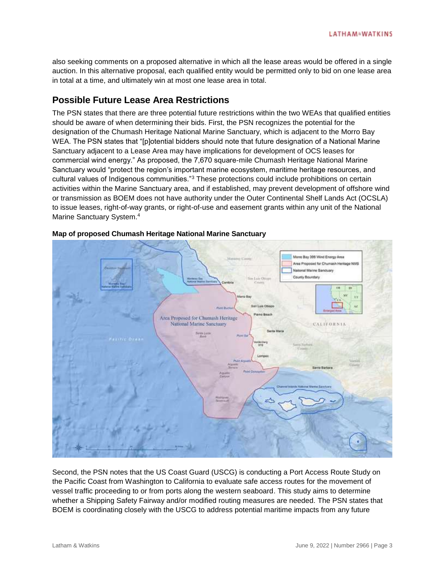also seeking comments on a proposed alternative in which all the lease areas would be offered in a single auction. In this alternative proposal, each qualified entity would be permitted only to bid on one lease area in total at a time, and ultimately win at most one lease area in total.

## **Possible Future Lease Area Restrictions**

The PSN states that there are three potential future restrictions within the two WEAs that qualified entities should be aware of when determining their bids. First, the PSN recognizes the potential for the designation of the Chumash Heritage National Marine Sanctuary, which is adjacent to the Morro Bay WEA. The PSN states that "[p]otential bidders should note that future designation of a National Marine Sanctuary adjacent to a Lease Area may have implications for development of OCS leases for commercial wind energy." As proposed, the 7,670 square-mile Chumash Heritage National Marine Sanctuary would "protect the region's important marine ecosystem, maritime heritage resources, and cultural values of Indigenous communities."<sup>3</sup> These protections could include prohibitions on certain activities within the Marine Sanctuary area, and if established, may prevent development of offshore wind or transmission as BOEM does not have authority under the Outer Continental Shelf Lands Act (OCSLA) to issue leases, right-of-way grants, or right-of-use and easement grants within any unit of the National Marine Sanctuary System.<sup>4</sup>



#### **Map of proposed Chumash Heritage National Marine Sanctuary**

Second, the PSN notes that the US Coast Guard (USCG) is conducting a Port Access Route Study on the Pacific Coast from Washington to California to evaluate safe access routes for the movement of vessel traffic proceeding to or from ports along the western seaboard. This study aims to determine whether a Shipping Safety Fairway and/or modified routing measures are needed. The PSN states that BOEM is coordinating closely with the USCG to address potential maritime impacts from any future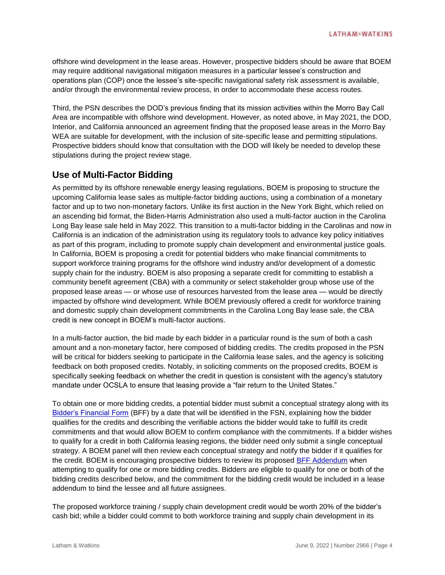offshore wind development in the lease areas. However, prospective bidders should be aware that BOEM may require additional navigational mitigation measures in a particular lessee's construction and operations plan (COP) once the lessee's site-specific navigational safety risk assessment is available, and/or through the environmental review process, in order to accommodate these access routes.

Third, the PSN describes the DOD's previous finding that its mission activities within the Morro Bay Call Area are incompatible with offshore wind development. However, as noted above, in May 2021, the DOD, Interior, and California announced an agreement finding that the proposed lease areas in the Morro Bay WEA are suitable for development, with the inclusion of site-specific lease and permitting stipulations. Prospective bidders should know that consultation with the DOD will likely be needed to develop these stipulations during the project review stage.

# **Use of Multi-Factor Bidding**

As permitted by its offshore renewable energy leasing regulations, BOEM is proposing to structure the upcoming California lease sales as multiple-factor bidding auctions, using a combination of a monetary factor and up to two non-monetary factors. Unlike its first auction in the New York Bight, which relied on an ascending bid format, the Biden-Harris Administration also used a multi-factor auction in the Carolina Long Bay lease sale held in May 2022. This transition to a multi-factor bidding in the Carolinas and now in California is an indication of the administration using its regulatory tools to advance key policy initiatives as part of this program, including to promote supply chain development and environmental justice goals. In California, BOEM is proposing a credit for potential bidders who make financial commitments to support workforce training programs for the offshore wind industry and/or development of a domestic supply chain for the industry. BOEM is also proposing a separate credit for committing to establish a community benefit agreement (CBA) with a community or select stakeholder group whose use of the proposed lease areas — or whose use of resources harvested from the lease area — would be directly impacted by offshore wind development. While BOEM previously offered a credit for workforce training and domestic supply chain development commitments in the Carolina Long Bay lease sale, the CBA credit is new concept in BOEM's multi-factor auctions.

In a multi-factor auction, the bid made by each bidder in a particular round is the sum of both a cash amount and a non-monetary factor, here composed of bidding credits. The credits proposed in the PSN will be critical for bidders seeking to participate in the California lease sales, and the agency is soliciting feedback on both proposed credits. Notably, in soliciting comments on the proposed credits, BOEM is specifically seeking feedback on whether the credit in question is consistent with the agency's statutory mandate under OCSLA to ensure that leasing provide a "fair return to the United States."

To obtain one or more bidding credits, a potential bidder must submit a conceptual strategy along with its [Bidder's Financial Form](https://www.boem.gov/renewable-energy/state-activities/ca-bff) (BFF) by a date that will be identified in the FSN, explaining how the bidder qualifies for the credits and describing the verifiable actions the bidder would take to fulfill its credit commitments and that would allow BOEM to confirm compliance with the commitments. If a bidder wishes to qualify for a credit in both California leasing regions, the bidder need only submit a single conceptual strategy. A BOEM panel will then review each conceptual strategy and notify the bidder if it qualifies for the credit. BOEM is encouraging prospective bidders to review its proposed [BFF Addendum](https://www.boem.gov/renewable-energy/state-activities/ca-bff-addendum) when attempting to qualify for one or more bidding credits. Bidders are eligible to qualify for one or both of the bidding credits described below, and the commitment for the bidding credit would be included in a lease addendum to bind the lessee and all future assignees.

The proposed workforce training / supply chain development credit would be worth 20% of the bidder's cash bid; while a bidder could commit to both workforce training and supply chain development in its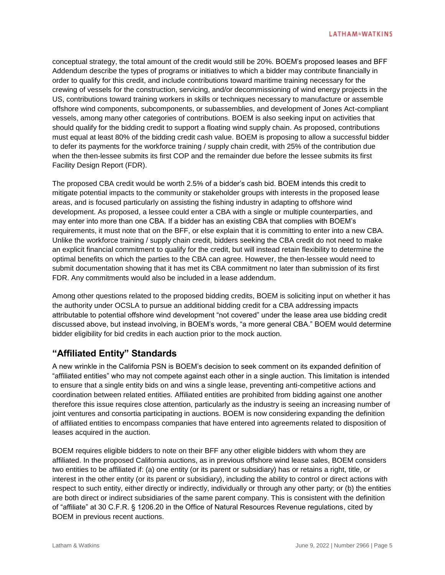conceptual strategy, the total amount of the credit would still be 20%. BOEM's proposed leases and BFF Addendum describe the types of programs or initiatives to which a bidder may contribute financially in order to qualify for this credit, and include contributions toward maritime training necessary for the crewing of vessels for the construction, servicing, and/or decommissioning of wind energy projects in the US, contributions toward training workers in skills or techniques necessary to manufacture or assemble offshore wind components, subcomponents, or subassemblies, and development of Jones Act-compliant vessels, among many other categories of contributions. BOEM is also seeking input on activities that should qualify for the bidding credit to support a floating wind supply chain. As proposed, contributions must equal at least 80% of the bidding credit cash value. BOEM is proposing to allow a successful bidder to defer its payments for the workforce training / supply chain credit, with 25% of the contribution due when the then-lessee submits its first COP and the remainder due before the lessee submits its first Facility Design Report (FDR).

The proposed CBA credit would be worth 2.5% of a bidder's cash bid. BOEM intends this credit to mitigate potential impacts to the community or stakeholder groups with interests in the proposed lease areas, and is focused particularly on assisting the fishing industry in adapting to offshore wind development. As proposed, a lessee could enter a CBA with a single or multiple counterparties, and may enter into more than one CBA. If a bidder has an existing CBA that complies with BOEM's requirements, it must note that on the BFF, or else explain that it is committing to enter into a new CBA. Unlike the workforce training / supply chain credit, bidders seeking the CBA credit do not need to make an explicit financial commitment to qualify for the credit, but will instead retain flexibility to determine the optimal benefits on which the parties to the CBA can agree. However, the then-lessee would need to submit documentation showing that it has met its CBA commitment no later than submission of its first FDR. Any commitments would also be included in a lease addendum.

Among other questions related to the proposed bidding credits, BOEM is soliciting input on whether it has the authority under OCSLA to pursue an additional bidding credit for a CBA addressing impacts attributable to potential offshore wind development "not covered" under the lease area use bidding credit discussed above, but instead involving, in BOEM's words, "a more general CBA." BOEM would determine bidder eligibility for bid credits in each auction prior to the mock auction.

## **"Affiliated Entity" Standards**

A new wrinkle in the California PSN is BOEM's decision to seek comment on its expanded definition of "affiliated entities" who may not compete against each other in a single auction. This limitation is intended to ensure that a single entity bids on and wins a single lease, preventing anti-competitive actions and coordination between related entities. Affiliated entities are prohibited from bidding against one another therefore this issue requires close attention, particularly as the industry is seeing an increasing number of joint ventures and consortia participating in auctions. BOEM is now considering expanding the definition of affiliated entities to encompass companies that have entered into agreements related to disposition of leases acquired in the auction.

BOEM requires eligible bidders to note on their BFF any other eligible bidders with whom they are affiliated. In the proposed California auctions, as in previous offshore wind lease sales, BOEM considers two entities to be affiliated if: (a) one entity (or its parent or subsidiary) has or retains a right, title, or interest in the other entity (or its parent or subsidiary), including the ability to control or direct actions with respect to such entity, either directly or indirectly, individually or through any other party; or (b) the entities are both direct or indirect subsidiaries of the same parent company. This is consistent with the definition of "affiliate" at 30 C.F.R. § 1206.20 in the Office of Natural Resources Revenue regulations, cited by BOEM in previous recent auctions.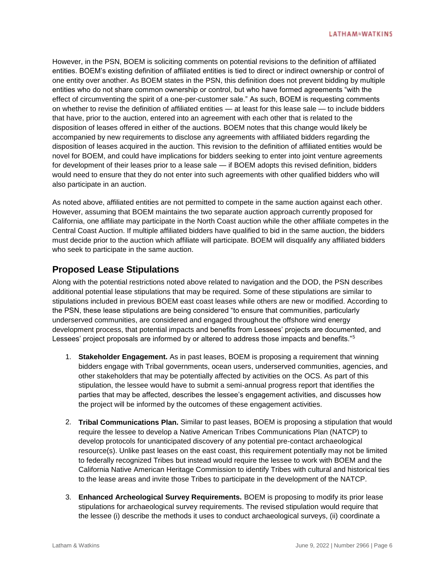However, in the PSN, BOEM is soliciting comments on potential revisions to the definition of affiliated entities. BOEM's existing definition of affiliated entities is tied to direct or indirect ownership or control of one entity over another. As BOEM states in the PSN, this definition does not prevent bidding by multiple entities who do not share common ownership or control, but who have formed agreements "with the effect of circumventing the spirit of a one-per-customer sale." As such, BOEM is requesting comments on whether to revise the definition of affiliated entities — at least for this lease sale — to include bidders that have, prior to the auction, entered into an agreement with each other that is related to the disposition of leases offered in either of the auctions. BOEM notes that this change would likely be accompanied by new requirements to disclose any agreements with affiliated bidders regarding the disposition of leases acquired in the auction. This revision to the definition of affiliated entities would be novel for BOEM, and could have implications for bidders seeking to enter into joint venture agreements for development of their leases prior to a lease sale — if BOEM adopts this revised definition, bidders would need to ensure that they do not enter into such agreements with other qualified bidders who will also participate in an auction.

As noted above, affiliated entities are not permitted to compete in the same auction against each other. However, assuming that BOEM maintains the two separate auction approach currently proposed for California, one affiliate may participate in the North Coast auction while the other affiliate competes in the Central Coast Auction. If multiple affiliated bidders have qualified to bid in the same auction, the bidders must decide prior to the auction which affiliate will participate. BOEM will disqualify any affiliated bidders who seek to participate in the same auction.

# **Proposed Lease Stipulations**

Along with the potential restrictions noted above related to navigation and the DOD, the PSN describes additional potential lease stipulations that may be required. Some of these stipulations are similar to stipulations included in previous BOEM east coast leases while others are new or modified. According to the PSN, these lease stipulations are being considered "to ensure that communities, particularly underserved communities, are considered and engaged throughout the offshore wind energy development process, that potential impacts and benefits from Lessees' projects are documented, and Lessees' project proposals are informed by or altered to address those impacts and benefits."<sup>5</sup>

- 1. **Stakeholder Engagement.** As in past leases, BOEM is proposing a requirement that winning bidders engage with Tribal governments, ocean users, underserved communities, agencies, and other stakeholders that may be potentially affected by activities on the OCS. As part of this stipulation, the lessee would have to submit a semi-annual progress report that identifies the parties that may be affected, describes the lessee's engagement activities, and discusses how the project will be informed by the outcomes of these engagement activities.
- 2. **Tribal Communications Plan.** Similar to past leases, BOEM is proposing a stipulation that would require the lessee to develop a Native American Tribes Communications Plan (NATCP) to develop protocols for unanticipated discovery of any potential pre-contact archaeological resource(s). Unlike past leases on the east coast, this requirement potentially may not be limited to federally recognized Tribes but instead would require the lessee to work with BOEM and the California Native American Heritage Commission to identify Tribes with cultural and historical ties to the lease areas and invite those Tribes to participate in the development of the NATCP.
- 3. **Enhanced Archeological Survey Requirements.** BOEM is proposing to modify its prior lease stipulations for archaeological survey requirements. The revised stipulation would require that the lessee (i) describe the methods it uses to conduct archaeological surveys, (ii) coordinate a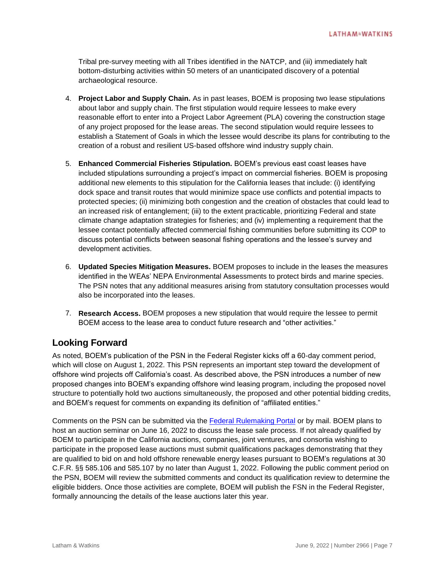Tribal pre-survey meeting with all Tribes identified in the NATCP, and (iii) immediately halt bottom-disturbing activities within 50 meters of an unanticipated discovery of a potential archaeological resource.

- 4. **Project Labor and Supply Chain.** As in past leases, BOEM is proposing two lease stipulations about labor and supply chain. The first stipulation would require lessees to make every reasonable effort to enter into a Project Labor Agreement (PLA) covering the construction stage of any project proposed for the lease areas. The second stipulation would require lessees to establish a Statement of Goals in which the lessee would describe its plans for contributing to the creation of a robust and resilient US-based offshore wind industry supply chain.
- 5. **Enhanced Commercial Fisheries Stipulation.** BOEM's previous east coast leases have included stipulations surrounding a project's impact on commercial fisheries. BOEM is proposing additional new elements to this stipulation for the California leases that include: (i) identifying dock space and transit routes that would minimize space use conflicts and potential impacts to protected species; (ii) minimizing both congestion and the creation of obstacles that could lead to an increased risk of entanglement; (iii) to the extent practicable, prioritizing Federal and state climate change adaptation strategies for fisheries; and (iv) implementing a requirement that the lessee contact potentially affected commercial fishing communities before submitting its COP to discuss potential conflicts between seasonal fishing operations and the lessee's survey and development activities.
- 6. **Updated Species Mitigation Measures.** BOEM proposes to include in the leases the measures identified in the WEAs' NEPA Environmental Assessments to protect birds and marine species. The PSN notes that any additional measures arising from statutory consultation processes would also be incorporated into the leases.
- 7. **Research Access.** BOEM proposes a new stipulation that would require the lessee to permit BOEM access to the lease area to conduct future research and "other activities."

## **Looking Forward**

As noted, BOEM's publication of the PSN in the Federal Register kicks off a 60-day comment period, which will close on August 1, 2022. This PSN represents an important step toward the development of offshore wind projects off California's coast. As described above, the PSN introduces a number of new proposed changes into BOEM's expanding offshore wind leasing program, including the proposed novel structure to potentially hold two auctions simultaneously, the proposed and other potential bidding credits, and BOEM's request for comments on expanding its definition of "affiliated entities."

Comments on the PSN can be submitted via the [Federal Rulemaking Portal](https://www.regulations.gov/docket/BOEM-2022-0017/document) or by mail. BOEM plans to host an auction seminar on June 16, 2022 to discuss the lease sale process. If not already qualified by BOEM to participate in the California auctions, companies, joint ventures, and consortia wishing to participate in the proposed lease auctions must submit qualifications packages demonstrating that they are qualified to bid on and hold offshore renewable energy leases pursuant to BOEM's regulations at 30 C.F.R. §§ 585.106 and 585.107 by no later than August 1, 2022. Following the public comment period on the PSN, BOEM will review the submitted comments and conduct its qualification review to determine the eligible bidders. Once those activities are complete, BOEM will publish the FSN in the Federal Register, formally announcing the details of the lease auctions later this year.